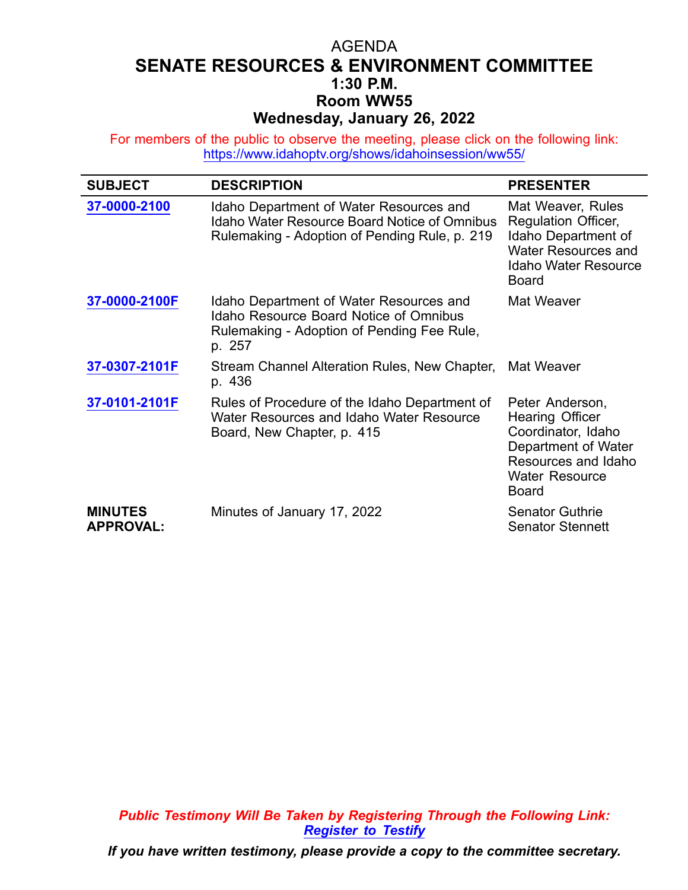## AGENDA **SENATE RESOURCES & ENVIRONMENT COMMITTEE 1:30 P.M. Room WW55 Wednesday, January 26, 2022**

For members of the public to observe the meeting, please click on the following link: <https://www.idahoptv.org/shows/idahoinsession/ww55/>

| <b>SUBJECT</b>                     | <b>DESCRIPTION</b>                                                                                                                               | <b>PRESENTER</b>                                                                                                                                       |
|------------------------------------|--------------------------------------------------------------------------------------------------------------------------------------------------|--------------------------------------------------------------------------------------------------------------------------------------------------------|
| 37-0000-2100                       | Idaho Department of Water Resources and<br><b>Idaho Water Resource Board Notice of Omnibus</b><br>Rulemaking - Adoption of Pending Rule, p. 219  | Mat Weaver, Rules<br><b>Regulation Officer,</b><br>Idaho Department of<br><b>Water Resources and</b><br><b>Idaho Water Resource</b><br><b>Board</b>    |
| 37-0000-2100F                      | Idaho Department of Water Resources and<br><b>Idaho Resource Board Notice of Omnibus</b><br>Rulemaking - Adoption of Pending Fee Rule,<br>p. 257 | Mat Weaver                                                                                                                                             |
| 37-0307-2101F                      | Stream Channel Alteration Rules, New Chapter,<br>p. 436                                                                                          | Mat Weaver                                                                                                                                             |
| 37-0101-2101F                      | Rules of Procedure of the Idaho Department of<br>Water Resources and Idaho Water Resource<br>Board, New Chapter, p. 415                          | Peter Anderson,<br><b>Hearing Officer</b><br>Coordinator, Idaho<br>Department of Water<br>Resources and Idaho<br><b>Water Resource</b><br><b>Board</b> |
| <b>MINUTES</b><br><b>APPROVAL:</b> | Minutes of January 17, 2022                                                                                                                      | <b>Senator Guthrie</b><br><b>Senator Stennett</b>                                                                                                      |

*Public Testimony Will Be Taken by Registering Through the Following Link: [Register](https://legislature.idaho.gov/sessioninfo/2022/standingcommittees/sre/#hcode-tab-style2testimony-registration-remote-in-person) to Testify*

*If you have written testimony, please provide <sup>a</sup> copy to the committee secretary.*